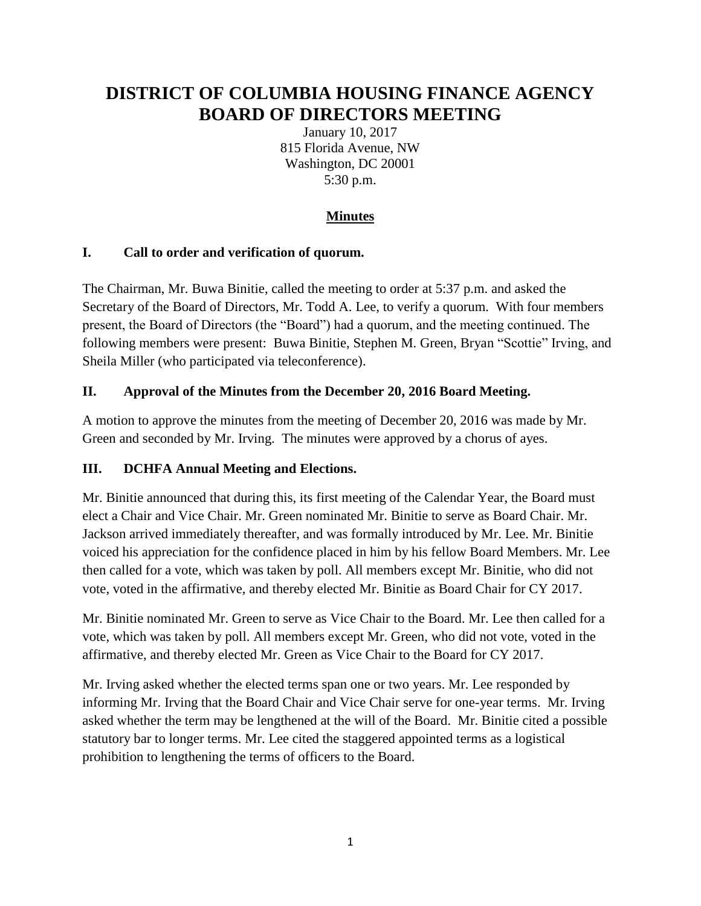# **DISTRICT OF COLUMBIA HOUSING FINANCE AGENCY BOARD OF DIRECTORS MEETING**

January 10, 2017 815 Florida Avenue, NW Washington, DC 20001 5:30 p.m.

# **Minutes**

#### **I. Call to order and verification of quorum.**

The Chairman, Mr. Buwa Binitie, called the meeting to order at 5:37 p.m. and asked the Secretary of the Board of Directors, Mr. Todd A. Lee, to verify a quorum. With four members present, the Board of Directors (the "Board") had a quorum, and the meeting continued. The following members were present: Buwa Binitie, Stephen M. Green, Bryan "Scottie" Irving, and Sheila Miller (who participated via teleconference).

## **II. Approval of the Minutes from the December 20, 2016 Board Meeting.**

A motion to approve the minutes from the meeting of December 20, 2016 was made by Mr. Green and seconded by Mr. Irving. The minutes were approved by a chorus of ayes.

## **III. DCHFA Annual Meeting and Elections.**

Mr. Binitie announced that during this, its first meeting of the Calendar Year, the Board must elect a Chair and Vice Chair. Mr. Green nominated Mr. Binitie to serve as Board Chair. Mr. Jackson arrived immediately thereafter, and was formally introduced by Mr. Lee. Mr. Binitie voiced his appreciation for the confidence placed in him by his fellow Board Members. Mr. Lee then called for a vote, which was taken by poll. All members except Mr. Binitie, who did not vote, voted in the affirmative, and thereby elected Mr. Binitie as Board Chair for CY 2017.

Mr. Binitie nominated Mr. Green to serve as Vice Chair to the Board. Mr. Lee then called for a vote, which was taken by poll. All members except Mr. Green, who did not vote, voted in the affirmative, and thereby elected Mr. Green as Vice Chair to the Board for CY 2017.

Mr. Irving asked whether the elected terms span one or two years. Mr. Lee responded by informing Mr. Irving that the Board Chair and Vice Chair serve for one-year terms. Mr. Irving asked whether the term may be lengthened at the will of the Board. Mr. Binitie cited a possible statutory bar to longer terms. Mr. Lee cited the staggered appointed terms as a logistical prohibition to lengthening the terms of officers to the Board.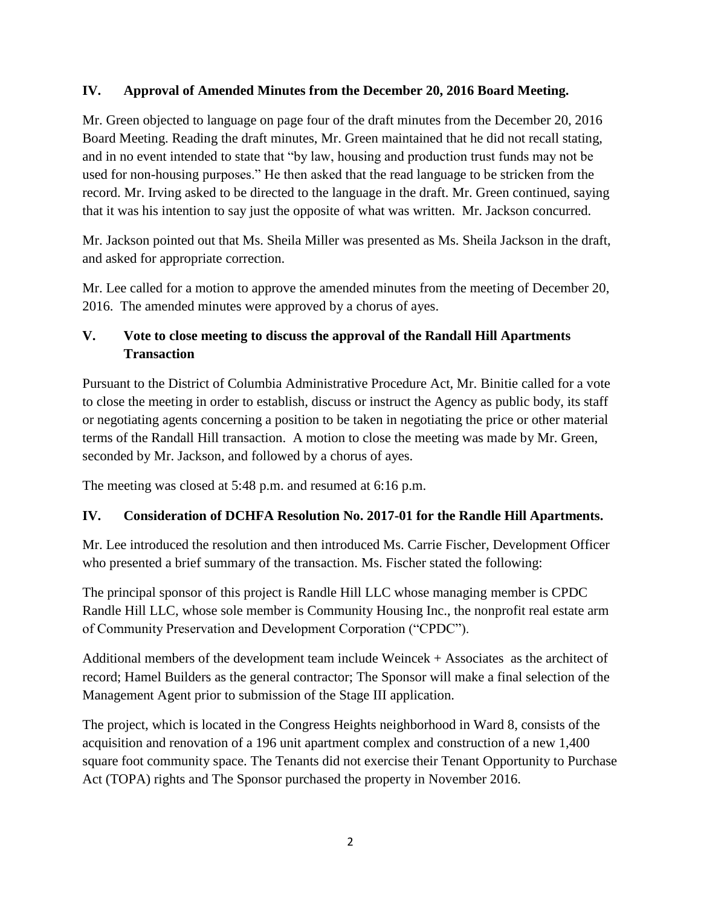#### **IV. Approval of Amended Minutes from the December 20, 2016 Board Meeting.**

Mr. Green objected to language on page four of the draft minutes from the December 20, 2016 Board Meeting. Reading the draft minutes, Mr. Green maintained that he did not recall stating, and in no event intended to state that "by law, housing and production trust funds may not be used for non-housing purposes." He then asked that the read language to be stricken from the record. Mr. Irving asked to be directed to the language in the draft. Mr. Green continued, saying that it was his intention to say just the opposite of what was written. Mr. Jackson concurred.

Mr. Jackson pointed out that Ms. Sheila Miller was presented as Ms. Sheila Jackson in the draft, and asked for appropriate correction.

Mr. Lee called for a motion to approve the amended minutes from the meeting of December 20, 2016. The amended minutes were approved by a chorus of ayes.

## **V. Vote to close meeting to discuss the approval of the Randall Hill Apartments Transaction**

Pursuant to the District of Columbia Administrative Procedure Act, Mr. Binitie called for a vote to close the meeting in order to establish, discuss or instruct the Agency as public body, its staff or negotiating agents concerning a position to be taken in negotiating the price or other material terms of the Randall Hill transaction. A motion to close the meeting was made by Mr. Green, seconded by Mr. Jackson, and followed by a chorus of ayes.

The meeting was closed at 5:48 p.m. and resumed at 6:16 p.m.

## **IV. Consideration of DCHFA Resolution No. 2017-01 for the Randle Hill Apartments.**

Mr. Lee introduced the resolution and then introduced Ms. Carrie Fischer, Development Officer who presented a brief summary of the transaction. Ms. Fischer stated the following:

The principal sponsor of this project is Randle Hill LLC whose managing member is CPDC Randle Hill LLC, whose sole member is Community Housing Inc., the nonprofit real estate arm of Community Preservation and Development Corporation ("CPDC").

Additional members of the development team include Weincek + Associates as the architect of record; Hamel Builders as the general contractor; The Sponsor will make a final selection of the Management Agent prior to submission of the Stage III application.

The project, which is located in the Congress Heights neighborhood in Ward 8, consists of the acquisition and renovation of a 196 unit apartment complex and construction of a new 1,400 square foot community space. The Tenants did not exercise their Tenant Opportunity to Purchase Act (TOPA) rights and The Sponsor purchased the property in November 2016.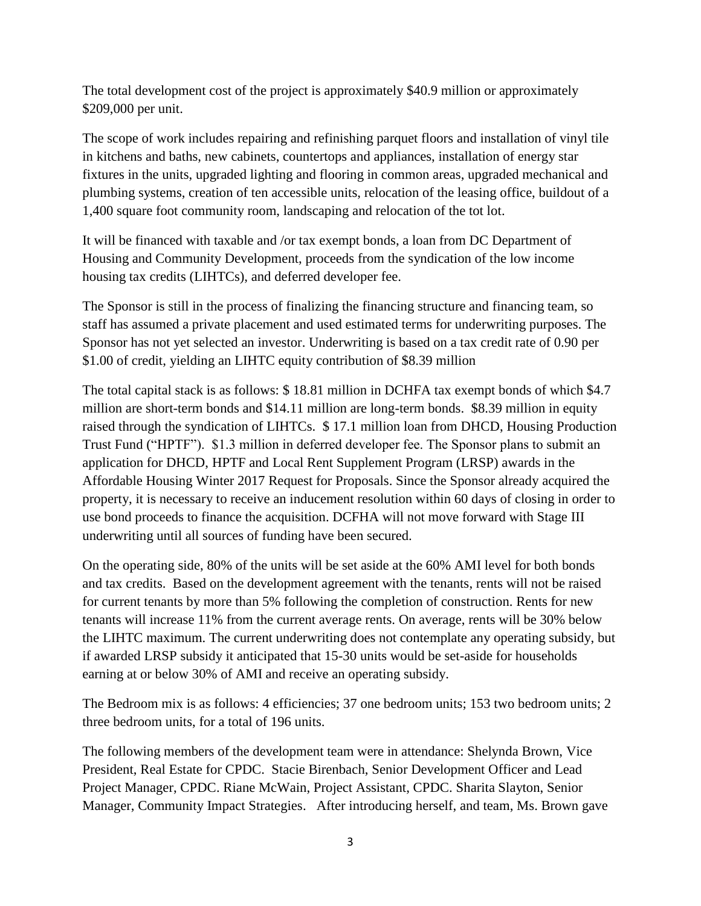The total development cost of the project is approximately \$40.9 million or approximately \$209,000 per unit.

The scope of work includes repairing and refinishing parquet floors and installation of vinyl tile in kitchens and baths, new cabinets, countertops and appliances, installation of energy star fixtures in the units, upgraded lighting and flooring in common areas, upgraded mechanical and plumbing systems, creation of ten accessible units, relocation of the leasing office, buildout of a 1,400 square foot community room, landscaping and relocation of the tot lot.

It will be financed with taxable and /or tax exempt bonds, a loan from DC Department of Housing and Community Development, proceeds from the syndication of the low income housing tax credits (LIHTCs), and deferred developer fee.

The Sponsor is still in the process of finalizing the financing structure and financing team, so staff has assumed a private placement and used estimated terms for underwriting purposes. The Sponsor has not yet selected an investor. Underwriting is based on a tax credit rate of 0.90 per \$1.00 of credit, yielding an LIHTC equity contribution of \$8.39 million

The total capital stack is as follows: \$ 18.81 million in DCHFA tax exempt bonds of which \$4.7 million are short-term bonds and \$14.11 million are long-term bonds. \$8.39 million in equity raised through the syndication of LIHTCs. \$ 17.1 million loan from DHCD, Housing Production Trust Fund ("HPTF"). \$1.3 million in deferred developer fee. The Sponsor plans to submit an application for DHCD, HPTF and Local Rent Supplement Program (LRSP) awards in the Affordable Housing Winter 2017 Request for Proposals. Since the Sponsor already acquired the property, it is necessary to receive an inducement resolution within 60 days of closing in order to use bond proceeds to finance the acquisition. DCFHA will not move forward with Stage III underwriting until all sources of funding have been secured.

On the operating side, 80% of the units will be set aside at the 60% AMI level for both bonds and tax credits. Based on the development agreement with the tenants, rents will not be raised for current tenants by more than 5% following the completion of construction. Rents for new tenants will increase 11% from the current average rents. On average, rents will be 30% below the LIHTC maximum. The current underwriting does not contemplate any operating subsidy, but if awarded LRSP subsidy it anticipated that 15-30 units would be set-aside for households earning at or below 30% of AMI and receive an operating subsidy.

The Bedroom mix is as follows: 4 efficiencies; 37 one bedroom units; 153 two bedroom units; 2 three bedroom units, for a total of 196 units.

The following members of the development team were in attendance: Shelynda Brown, Vice President, Real Estate for CPDC. Stacie Birenbach, Senior Development Officer and Lead Project Manager, CPDC. Riane McWain, Project Assistant, CPDC. Sharita Slayton, Senior Manager, Community Impact Strategies. After introducing herself, and team, Ms. Brown gave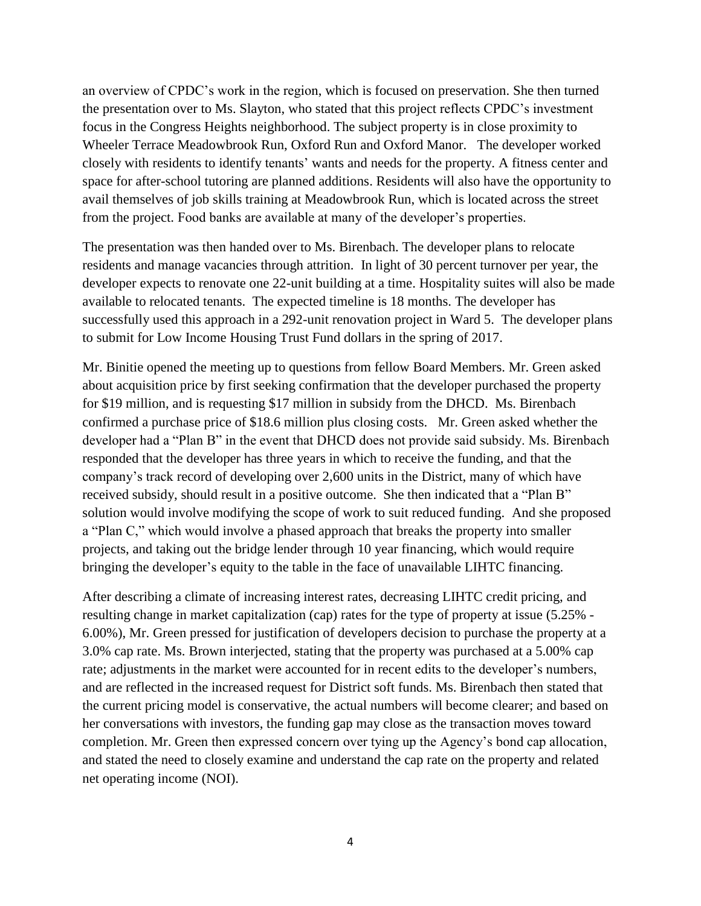an overview of CPDC's work in the region, which is focused on preservation. She then turned the presentation over to Ms. Slayton, who stated that this project reflects CPDC's investment focus in the Congress Heights neighborhood. The subject property is in close proximity to Wheeler Terrace Meadowbrook Run, Oxford Run and Oxford Manor. The developer worked closely with residents to identify tenants' wants and needs for the property. A fitness center and space for after-school tutoring are planned additions. Residents will also have the opportunity to avail themselves of job skills training at Meadowbrook Run, which is located across the street from the project. Food banks are available at many of the developer's properties.

The presentation was then handed over to Ms. Birenbach. The developer plans to relocate residents and manage vacancies through attrition. In light of 30 percent turnover per year, the developer expects to renovate one 22-unit building at a time. Hospitality suites will also be made available to relocated tenants. The expected timeline is 18 months. The developer has successfully used this approach in a 292-unit renovation project in Ward 5. The developer plans to submit for Low Income Housing Trust Fund dollars in the spring of 2017.

Mr. Binitie opened the meeting up to questions from fellow Board Members. Mr. Green asked about acquisition price by first seeking confirmation that the developer purchased the property for \$19 million, and is requesting \$17 million in subsidy from the DHCD. Ms. Birenbach confirmed a purchase price of \$18.6 million plus closing costs. Mr. Green asked whether the developer had a "Plan B" in the event that DHCD does not provide said subsidy. Ms. Birenbach responded that the developer has three years in which to receive the funding, and that the company's track record of developing over 2,600 units in the District, many of which have received subsidy, should result in a positive outcome. She then indicated that a "Plan B" solution would involve modifying the scope of work to suit reduced funding. And she proposed a "Plan C," which would involve a phased approach that breaks the property into smaller projects, and taking out the bridge lender through 10 year financing, which would require bringing the developer's equity to the table in the face of unavailable LIHTC financing.

After describing a climate of increasing interest rates, decreasing LIHTC credit pricing, and resulting change in market capitalization (cap) rates for the type of property at issue (5.25% - 6.00%), Mr. Green pressed for justification of developers decision to purchase the property at a 3.0% cap rate. Ms. Brown interjected, stating that the property was purchased at a 5.00% cap rate; adjustments in the market were accounted for in recent edits to the developer's numbers, and are reflected in the increased request for District soft funds. Ms. Birenbach then stated that the current pricing model is conservative, the actual numbers will become clearer; and based on her conversations with investors, the funding gap may close as the transaction moves toward completion. Mr. Green then expressed concern over tying up the Agency's bond cap allocation, and stated the need to closely examine and understand the cap rate on the property and related net operating income (NOI).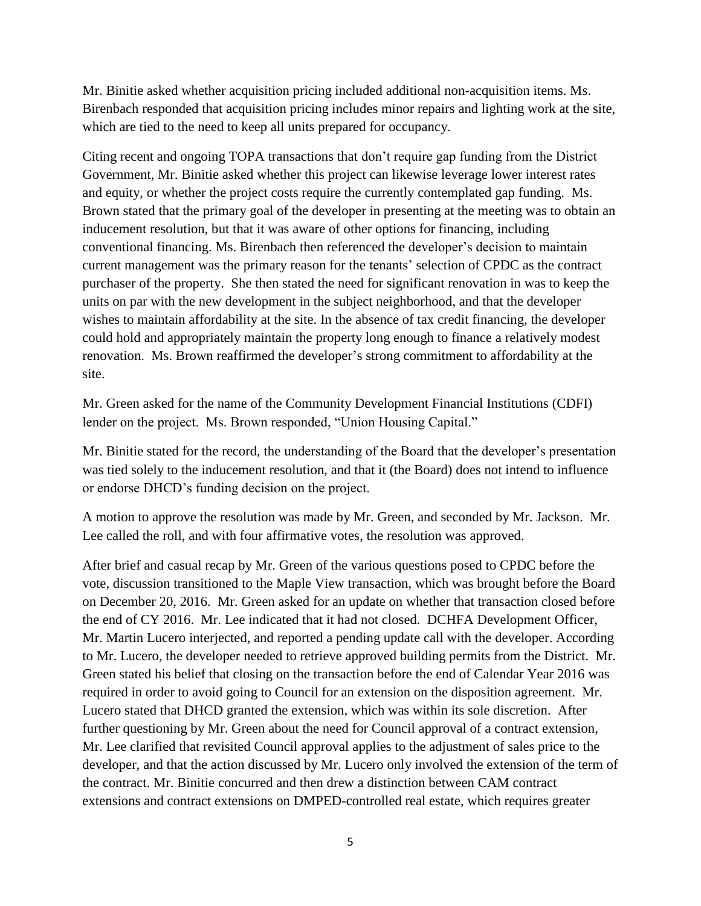Mr. Binitie asked whether acquisition pricing included additional non-acquisition items. Ms. Birenbach responded that acquisition pricing includes minor repairs and lighting work at the site, which are tied to the need to keep all units prepared for occupancy.

Citing recent and ongoing TOPA transactions that don't require gap funding from the District Government, Mr. Binitie asked whether this project can likewise leverage lower interest rates and equity, or whether the project costs require the currently contemplated gap funding. Ms. Brown stated that the primary goal of the developer in presenting at the meeting was to obtain an inducement resolution, but that it was aware of other options for financing, including conventional financing. Ms. Birenbach then referenced the developer's decision to maintain current management was the primary reason for the tenants' selection of CPDC as the contract purchaser of the property. She then stated the need for significant renovation in was to keep the units on par with the new development in the subject neighborhood, and that the developer wishes to maintain affordability at the site. In the absence of tax credit financing, the developer could hold and appropriately maintain the property long enough to finance a relatively modest renovation. Ms. Brown reaffirmed the developer's strong commitment to affordability at the site.

Mr. Green asked for the name of the Community Development Financial Institutions (CDFI) lender on the project. Ms. Brown responded, "Union Housing Capital."

Mr. Binitie stated for the record, the understanding of the Board that the developer's presentation was tied solely to the inducement resolution, and that it (the Board) does not intend to influence or endorse DHCD's funding decision on the project.

A motion to approve the resolution was made by Mr. Green, and seconded by Mr. Jackson. Mr. Lee called the roll, and with four affirmative votes, the resolution was approved.

After brief and casual recap by Mr. Green of the various questions posed to CPDC before the vote, discussion transitioned to the Maple View transaction, which was brought before the Board on December 20, 2016. Mr. Green asked for an update on whether that transaction closed before the end of CY 2016. Mr. Lee indicated that it had not closed. DCHFA Development Officer, Mr. Martin Lucero interjected, and reported a pending update call with the developer. According to Mr. Lucero, the developer needed to retrieve approved building permits from the District. Mr. Green stated his belief that closing on the transaction before the end of Calendar Year 2016 was required in order to avoid going to Council for an extension on the disposition agreement. Mr. Lucero stated that DHCD granted the extension, which was within its sole discretion. After further questioning by Mr. Green about the need for Council approval of a contract extension, Mr. Lee clarified that revisited Council approval applies to the adjustment of sales price to the developer, and that the action discussed by Mr. Lucero only involved the extension of the term of the contract. Mr. Binitie concurred and then drew a distinction between CAM contract extensions and contract extensions on DMPED-controlled real estate, which requires greater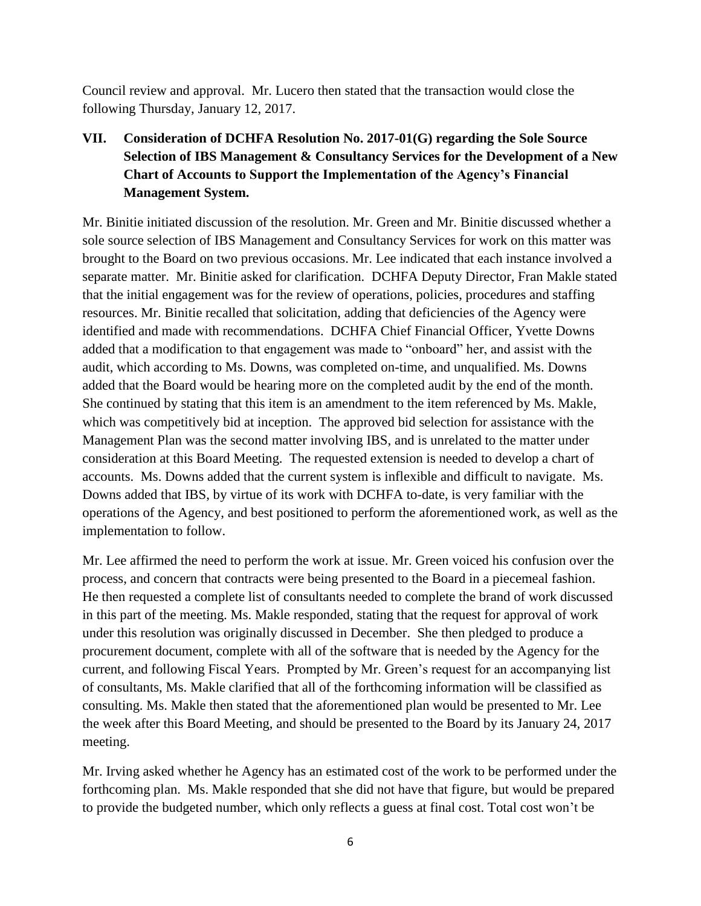Council review and approval. Mr. Lucero then stated that the transaction would close the following Thursday, January 12, 2017.

# **VII. Consideration of DCHFA Resolution No. 2017-01(G) regarding the Sole Source Selection of IBS Management & Consultancy Services for the Development of a New Chart of Accounts to Support the Implementation of the Agency's Financial Management System.**

Mr. Binitie initiated discussion of the resolution. Mr. Green and Mr. Binitie discussed whether a sole source selection of IBS Management and Consultancy Services for work on this matter was brought to the Board on two previous occasions. Mr. Lee indicated that each instance involved a separate matter. Mr. Binitie asked for clarification. DCHFA Deputy Director, Fran Makle stated that the initial engagement was for the review of operations, policies, procedures and staffing resources. Mr. Binitie recalled that solicitation, adding that deficiencies of the Agency were identified and made with recommendations. DCHFA Chief Financial Officer, Yvette Downs added that a modification to that engagement was made to "onboard" her, and assist with the audit, which according to Ms. Downs, was completed on-time, and unqualified. Ms. Downs added that the Board would be hearing more on the completed audit by the end of the month. She continued by stating that this item is an amendment to the item referenced by Ms. Makle, which was competitively bid at inception. The approved bid selection for assistance with the Management Plan was the second matter involving IBS, and is unrelated to the matter under consideration at this Board Meeting. The requested extension is needed to develop a chart of accounts. Ms. Downs added that the current system is inflexible and difficult to navigate. Ms. Downs added that IBS, by virtue of its work with DCHFA to-date, is very familiar with the operations of the Agency, and best positioned to perform the aforementioned work, as well as the implementation to follow.

Mr. Lee affirmed the need to perform the work at issue. Mr. Green voiced his confusion over the process, and concern that contracts were being presented to the Board in a piecemeal fashion. He then requested a complete list of consultants needed to complete the brand of work discussed in this part of the meeting. Ms. Makle responded, stating that the request for approval of work under this resolution was originally discussed in December. She then pledged to produce a procurement document, complete with all of the software that is needed by the Agency for the current, and following Fiscal Years. Prompted by Mr. Green's request for an accompanying list of consultants, Ms. Makle clarified that all of the forthcoming information will be classified as consulting. Ms. Makle then stated that the aforementioned plan would be presented to Mr. Lee the week after this Board Meeting, and should be presented to the Board by its January 24, 2017 meeting.

Mr. Irving asked whether he Agency has an estimated cost of the work to be performed under the forthcoming plan. Ms. Makle responded that she did not have that figure, but would be prepared to provide the budgeted number, which only reflects a guess at final cost. Total cost won't be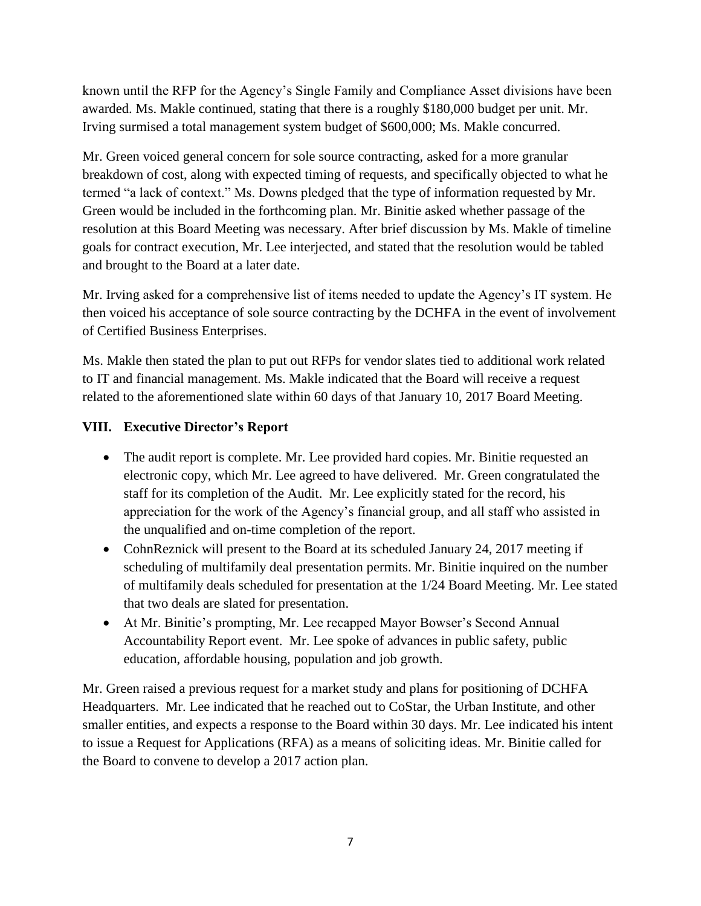known until the RFP for the Agency's Single Family and Compliance Asset divisions have been awarded. Ms. Makle continued, stating that there is a roughly \$180,000 budget per unit. Mr. Irving surmised a total management system budget of \$600,000; Ms. Makle concurred.

Mr. Green voiced general concern for sole source contracting, asked for a more granular breakdown of cost, along with expected timing of requests, and specifically objected to what he termed "a lack of context." Ms. Downs pledged that the type of information requested by Mr. Green would be included in the forthcoming plan. Mr. Binitie asked whether passage of the resolution at this Board Meeting was necessary. After brief discussion by Ms. Makle of timeline goals for contract execution, Mr. Lee interjected, and stated that the resolution would be tabled and brought to the Board at a later date.

Mr. Irving asked for a comprehensive list of items needed to update the Agency's IT system. He then voiced his acceptance of sole source contracting by the DCHFA in the event of involvement of Certified Business Enterprises.

Ms. Makle then stated the plan to put out RFPs for vendor slates tied to additional work related to IT and financial management. Ms. Makle indicated that the Board will receive a request related to the aforementioned slate within 60 days of that January 10, 2017 Board Meeting.

## **VIII. Executive Director's Report**

- The audit report is complete. Mr. Lee provided hard copies. Mr. Binitie requested an electronic copy, which Mr. Lee agreed to have delivered. Mr. Green congratulated the staff for its completion of the Audit. Mr. Lee explicitly stated for the record, his appreciation for the work of the Agency's financial group, and all staff who assisted in the unqualified and on-time completion of the report.
- CohnReznick will present to the Board at its scheduled January 24, 2017 meeting if scheduling of multifamily deal presentation permits. Mr. Binitie inquired on the number of multifamily deals scheduled for presentation at the 1/24 Board Meeting. Mr. Lee stated that two deals are slated for presentation.
- At Mr. Binitie's prompting, Mr. Lee recapped Mayor Bowser's Second Annual Accountability Report event. Mr. Lee spoke of advances in public safety, public education, affordable housing, population and job growth.

Mr. Green raised a previous request for a market study and plans for positioning of DCHFA Headquarters. Mr. Lee indicated that he reached out to CoStar, the Urban Institute, and other smaller entities, and expects a response to the Board within 30 days. Mr. Lee indicated his intent to issue a Request for Applications (RFA) as a means of soliciting ideas. Mr. Binitie called for the Board to convene to develop a 2017 action plan.